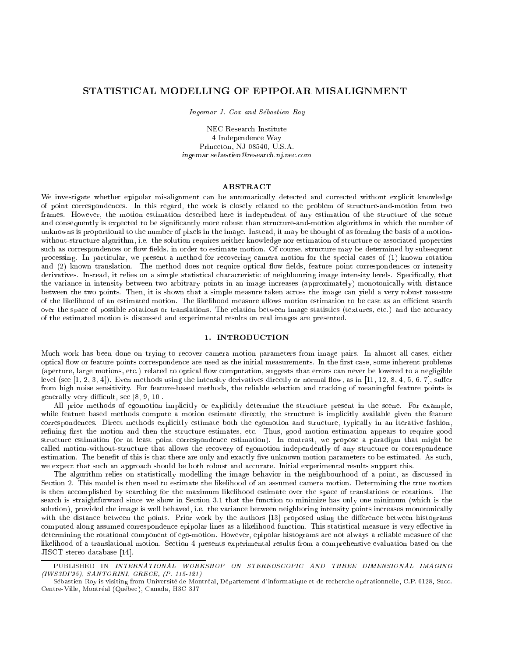# STATISTICAL MODELLING OF EPIPOLAR MISALIGNMENT

Ingemar J. Cox and Sebastien Roy

NEC Research Institute 4 Independence Way Princeton, NJ 08540, U.S.A. ingemarjsebastien@research.nj.nec.com

## **ABSTRACT**

We investigate whether epipolar misalignment can be automatically detected and corrected without explicit knowledge of point correspondences. In this regard, the work is closely related to the problem of structure-and-motion from two frames. However, the motion estimation described here is independent of any estimation of the structure of the scene and consequently is expected to be significantly more robust than structure-and-motion algorithms in which the number of unknowns is proportional to the number of pixels in the image. Instead, it may be thought of as forming the basis of a motionwithout-structure algorithm, i.e. the solution requires neither knowledge nor estimation of structure or associated properties such as correspondences or flow fields, in order to estimate motion. Of course, structure may be determined by subsequent processing. In particular, we present a method for recovering camera motion for the special cases of (1) known rotation and (2) known translation. The method does not require optical flow fields, feature point correspondences or intensity derivatives. Instead, it relies on a simple statistical characteristic of neighbouring image intensity levels. Specifically, that the variance in intensity between two arbitrary points in an image increases (approximately) monotonically with distance between the two points. Then, it is shown that a simple measure taken across the image can yield a very robust measure of the likelihood of an estimated motion. The likelihood measure allows motion estimation to be cast as an efficient search over the space of possible rotations or translations. The relation between image statistics (textures, etc.) and the accuracy of the estimated motion is discussed and experimental results on real images are presented.

### 1. INTRODUCTION

Much work has been done on trying to recover camera motion parameters from image pairs. In almost all cases, either optical flow or feature points correspondence are used as the initial measurements. In the first case, some inherent problems (aperture, large motions, etc.) related to optical flow computation, suggests that errors can never be lowered to a negligible level (see  $[1, 2, 3, 4]$ ). Even methods using the intensity derivatives directly or normal flow, as in  $[11, 12, 8, 4, 5, 6, 7]$ , suffer from high noise sensitivity. For feature-based methods, the reliable selection and tracking of meaningful feature points is generally very difficult, see  $[8, 9, 10]$ .

All prior methods of egomotion implicitly or explicitly determine the structure present in the scene. For example, while feature based methods compute a motion estimate directly, the structure is implicitly available given the feature correspondences. Direct methods explicitly estimate both the egomotion and structure, typically in an iterative fashion, refining first the motion and then the structure estimates, etc. Thus, good motion estimation appears to require good structure estimation (or at least point correspondence estimation). In contrast, we propose a paradigm that might be called motion-without-structure that allows the recovery of egomotion independently of any structure or correspondence estimation. The benefit of this is that there are only and exactly five unknown motion parameters to be estimated. As such, we expect that such an approach should be both robust and accurate. Initial experimental results support this.

The algorithm relies on statistically modelling the image behavior in the neighbourhood of a point, as discussed in Section 2. This model is then used to estimate the likelihood of an assumed camera motion. Determining the true motion is then accomplished by searching for the maximum likelihood estimate over the space of translations or rotations. The search is straightforward since we show in Section 3.1 that the function to minimize has only one minimum (which is the solution), provided the image is well behaved, i.e. the variance between neighboring intensity points increases monotonically with the distance between the points. Prior work by the authors [13] proposed using the difference between histograms computed along assumed correspondence epipolar lines as a likelihood function. This statistical measure is very effective in determining the rotational component of ego-motion. However, epipolar histograms are not always a reliable measure of the likelihood of a translational motion. Section 4 presents experimental results from a comprehensive evaluation based on the JISCT stereo database [14].

PUBLISHED IN INTERNATIONAL WORKSHOP ON STEREOSCOPIC AND THREE DIMENSIONAL IMAGING (IWS3DI'95), SANTORINI, GRECE, (P. 115-121)

Sebastien Roy is visiting from Universite de Montreal, Departement d'informatique et de recherche operationnelle, C.P. 6128, Succ. Centre-Ville, Montréal (Québec), Canada, H3C 3J7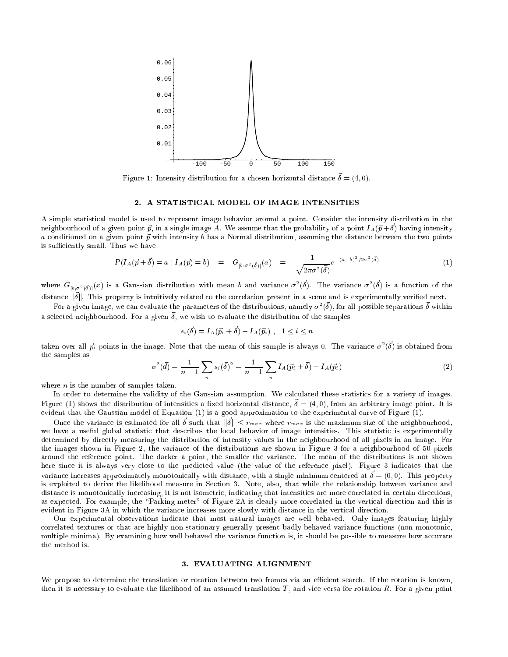

Figure 1: Intensity distribution for a chosen horizontal distance  $\vec{\delta} = (4, 0)$ .

#### 2. A STATISTICAL MODEL OF IMAGE INTENSITIES

A simple statistical model is used to represent image behavior around a point. Consider the intensity distribution in the neighbourhood of a given point  $\vec{p}$ , in a single image A. We assume that the probability of a point  $I_A(\vec{p}+\vec{\delta})$  having intensity a conditioned on a given point  $\vec{p}$  with intensity b has a Normal distribution, assuming the distance between the two points is sufficiently small. Thus we have

$$
P(I_A(\vec{p} + \vec{\delta}) = a | I_A(\vec{p}) = b) = G_{[b; \sigma^2(\vec{\delta})]}(a) = \frac{1}{\sqrt{2\pi\sigma^2(\vec{\delta})}}e^{-(a-b)^2/2\sigma^2(\vec{\delta})}
$$
(1)

where  $G_{[b,\sigma^2(\vec{\delta})]}(x)$  is a Gaussian distribution with mean b and variance  $\sigma^2(\vec{\delta})$ . The variance  $\sigma^2(\vec{\delta})$  is a function of the distance  $\|\vec{\delta}\|$ . This property is intuitively related to the correlation present in a scene and is experimentally verified next.

For a given image, we can evaluate the parameters of the distributions, namely  $\sigma^2(\vec{\delta})$ , for all possible separations  $\vec{\delta}$  within a selected neighbourhood. For a given  $\vec{\delta}$ , we wish to evaluate the distribution of the samples

$$
s_i(\vec{\delta}) = I_A(\vec{p_i} + \vec{\delta}) - I_A(\vec{p_i}), \quad 1 \leq i \leq n
$$

taken over all  $\vec{p}_i$  points in the image. Note that the mean of this sample is always 0. The variance  $\sigma^2(\vec{\delta})$  is obtained from the samples as

$$
\sigma^2(\vec{d}) = \frac{1}{n-1} \sum_n s_i(\vec{\delta})^2 = \frac{1}{n-1} \sum_n I_A(\vec{p_i} + \vec{\delta}) - I_A(\vec{p_i})
$$
\n(2)

where *n* is the number of samples taken.

In order to determine the validity of the Gaussian assumption. We calculated these statistics for a variety of images. Figure (1) shows the distribution of intensities a fixed horizontal distance,  $\vec{\delta} = (4,0)$ , from an arbitrary image point. It is evident that the Gaussian model of Equation (1) is a good approximation to the experimental curve of Figure (1).

Once the variance is estimated for all  $\vec{\delta}$  such that  $\|\vec{\delta}\| \leq r_{max}$  where  $r_{max}$  is the maximum size of the neighbourhood, we have a useful global statistic that describes the local behavior of image intensities. This statistic is experimentally determined by directly measuring the distribution of intensity values in the neighbourhood of all pixels in an image. For the images shown in Figure 2, the variance of the distributions are shown in Figure 3 for a neighbourhood of 50 pixels around the reference point. The darker a point, the smaller the variance. The mean of the distributions is not shown here since it is always very close to the predicted value (the value of the reference pixel). Figure 3 indicates that the variance increases approximately monotonically with distance, with a single minimum centered at  $\vec{\delta}=(0,0).$  This property is exploited to derive the likelihood measure in Section 3. Note, also, that while the relationship between variance and distance is monotonically increasing, it is not isometric, indicating that intensities are more correlated in certain directions, as expected. For example, the "Parking meter" of Figure 2A is clearly more correlated in the vertical direction and this is evident in Figure 3A in which the variance increases more slowly with distance in the vertical direction.

Our experimental observations indicate that most natural images are well behaved. Only images featuring highly correlated textures or that are highly non-stationary generally present badly-behaved variance functions (non-monotonic, multiple minima). By examining how well behaved the variance function is, it should be possible to measure how accurate the method is.

#### 3. EVALUATING ALIGNMENT

We propose to determine the translation or rotation between two frames via an efficient search. If the rotation is known, then it is necessary to evaluate the likelihood of an assumed translation  $T$ , and vice versa for rotation  $R$ . For a given point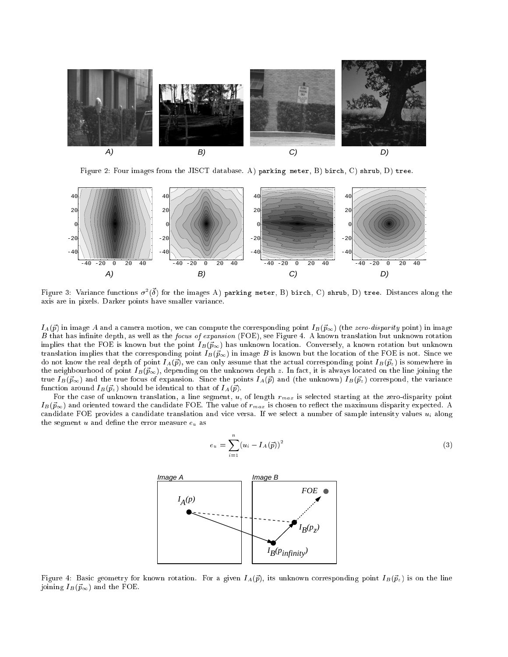

Figure 2: Four images from the JISCT database. A) parking meter, B) birch, C) shrub, D) tree.



Figure 3: Variance functions  $\sigma^2(\vec{\delta})$  for the images A) parking meter, B) birch, C) shrub, D) tree. Distances along the axis are in pixels. Darker points have smaller variance.

 $I_A(\vec{p})$  in image A and a camera motion, we can compute the corresponding point  $I_B(\vec{p}_{\infty})$  (the zero-disparity point) in image B that has infinite depth, as well as the focus of expansion (FOE), see Figure 4. A known translation but unknown rotation implies that the FOE is known but the point  $I_B(\vec{p}_{\infty})$  has unknown location. Conversely, a known rotation but unknown translation implies that the corresponding point  $I_B(\vec{p}_{\infty})$  in image B is known but the location of the FOE is not. Since we do not know the real depth of point  $I_A(p)$ , we can only assume that the actual corresponding point  $I_B(p^z)$  is somewhere in the neighbourhood of point  $I_B(\vec{p}_{\infty})$ , depending on the unknown depth z. In fact, it is always located on the line joining the true  $I_B(\vec{p}_{\infty})$  and the true focus of expansion. Since the points  $I_A(\vec{p})$  and (the unknown)  $I_B(\vec{p}_z)$  correspond, the variance function around  $I_B(\vec{p}_z)$  should be identical to that of  $I_A(\vec{p})$ .

For the case of unknown translation, a line segment,  $u$ , of length  $r_{max}$  is selected starting at the zero-disparity point  $I_B(\vec{p}_{\infty})$  and oriented toward the candidate FOE. The value of  $r_{max}$  is chosen to reflect the maximum disparity expected. A candidate FOE provides a candidate translation and vice versa. If we select a number of sample intensity values  $u_i$  along the segment u and define the error measure  $e_u$  as

$$
e_u = \sum_{i=1}^n (u_i - I_A(\vec{p}))^2
$$
\n(3)



Figure 4: Basic geometry for known rotation. For a given  $I_A(p^2)$ , its unknown corresponding point  $I_B(p^2)$  is on the line joining  $I_B(\vec{p}_{\infty})$  and the FOE.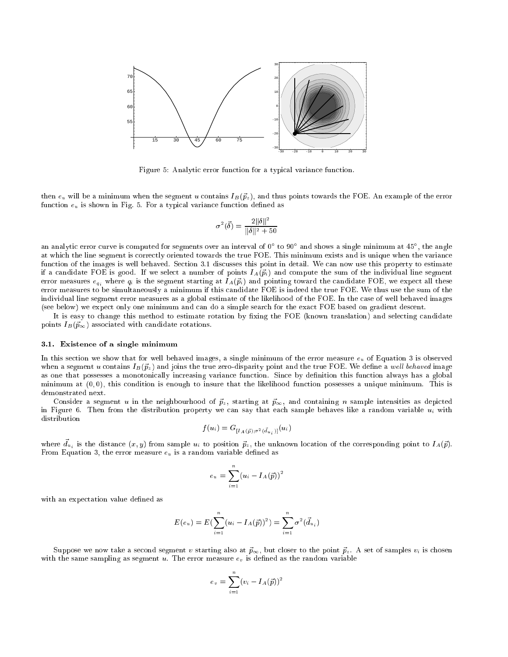

Figure 5: Analytic error function for a typical variance function.

then  $e_u$  will be a minimum when the segment u contains  $I_B(\vec{p}_z)$ , and thus points towards the FOE. An example of the error function  $e_u$  is shown in Fig. 5. For a typical variance function defined as

$$
\sigma^2(\vec{\delta}) = \frac{2\|\delta\|^2}{\|\delta\|^2 + 50}
$$

an analytic error curve is computed for segments over an interval of 0° to 90° and shows a single minimum at 45°, the angle at which the line segment is correctly oriented towards the true FOE. This minimum exists and is unique when the variance function of the images is well behaved. Section 3.1 discusses this point in detail. We can now use this property to estimate if a candidate FOE is good. If we select a number of points  $I_A(\vec{p}_i)$  and compute the sum of the individual line segment error measures  $e_{qi}$  where  $q_i$  is the segment starting at  $I_A(\vec{p}_i)$  and pointing toward the candidate FOE, we expect all these error measures to be simultaneously a minimum if this candidate FOE is indeed the true FOE. We thus use the sum of the individual line segment error measures as a global estimate of the likelihood of the FOE. In the case of well behaved images (see below) we expect only one minimum and can do a simple search for the exact FOE based on gradient descent.

It is easy to change this method to estimate rotation by fixing the FOE (known translation) and selecting candidate points  $I_B(\vec{p}_{\infty})$  associated with candidate rotations.

#### 3.1. Existence of a single minimum

In this section we show that for well behaved images, a single minimum of the error measure  $e_u$  of Equation 3 is observed when a segment u contains  $I_B(\vec{p}_z)$  and joins the true zero-disparity point and the true FOE. We define a well behaved image as one that possesses a monotonically increasing variance function. Since by definition this function always has a global minimum at  $(0,0)$ , this condition is enough to insure that the likelihood function possesses a unique minimum. This is demonstrated next.

Consider a segment u in the neighbourhood of  $\vec{p}_z$ , starting at  $\vec{p}_\infty$ , and containing n sample intensities as depicted in Figure 6. Then from the distribution property we can say that each sample behaves like a random variable  $u_i$  with distribution

$$
f(u_i) = G_{[I_A(\vec{p});\sigma^2(\vec{d}_{u_i})]}(u_i)
$$

where  $\vec{d}_{u_i}$  is the distance  $(x,y)$  from sample  $u_i$  to position  $\vec{p}_z$ , the unknown location of the corresponding point to  $I_A(\vec{p})$ . From Equation 3, the error measure  $e_u$  is a random variable defined as

$$
e_u = \sum_{i=1}^n (u_i - I_A(\vec{p}))^2
$$

with an expectation value defined as

$$
E(e_u) = E(\sum_{i=1}^n (u_i - I_A(\vec{p}))^2) = \sum_{i=1}^n \sigma^2(\vec{d}_{u_i})
$$

Suppose we now take a second segment v starting also at  $\vec{p}_{\infty}$ , but closer to the point  $\vec{p}_{z}$ . A set of samples  $v_i$  is chosen with the same sampling as segment  $u$ . The error measure  $e<sub>v</sub>$  is defined as the random variable

$$
e_v = \sum_{i=1}^n (v_i - I_A(\vec{p}))^2
$$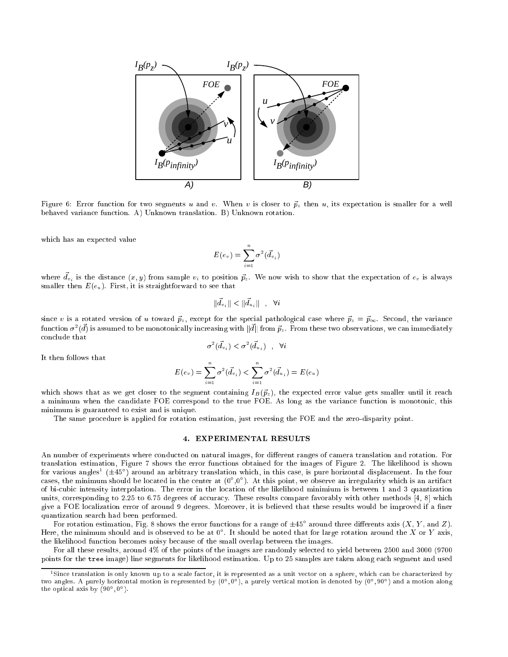

Figure 6: Error function for two segments u and v. When v is closer to  $\vec{p}_z$  then u, its expectation is smaller for a well behaved variance function. A) Unknown translation. B) Unknown rotation.

which has an expected value

$$
E(e_v) = \sum_{i=1}^n \sigma^2(\vec{d}_{v_i})
$$

where  $\vec{d}_{v_i}$  is the distance  $(x,y)$  from sample  $v_i$  to position  $\vec{p}_z$ . We now wish to show that the expectation of  $e_v$  is always smaller then  $E(e_u)$ . First, it is straightforward to see that

$$
\|\vec{d}_{v_i}\| < \|\vec{d}_{u_i}\| \quad , \quad \forall i
$$

since v is a rotated version of u toward  $\vec{p}_z$ , except for the special pathological case where  $\vec{p}_z = \vec{p}_{\infty}$ . Second, the variance function  $\sigma^2(\vec{d})$  is assumed to be monotonically increasing with  $\|\vec{d}\|$  from  $\vec{p}_z$ . From these two observations, we can immediately conclude that

$$
\sigma^2(\vec{d}_{v_i}) < \sigma^2(\vec{d}_{u_i}) \quad , \quad \forall i
$$

It then follows that

$$
E(e_v) = \sum_{i=1}^n \sigma^2(\vec{d}_{v_i}) < \sum_{i=1}^n \sigma^2(\vec{d}_{u_i}) = E(e_u)
$$

which shows that as we get closer to the segment containing  $I_B(\vec{p}_z)$ , the expected error value gets smaller until it reach a minimum when the candidate FOE correspond to the true FOE. As long as the variance function is monotonic, this minimum is guaranteed to exist and is unique.

The same procedure is applied for rotation estimation, just reversing the FOE and the zero-disparity point.

## 4. EXPERIMENTAL RESULTS

An number of experiments where conducted on natural images, for different ranges of camera translation and rotation. For translation estimation, Figure 7 shows the error functions obtained for the images of Figure 2. The likelihood is shown ror various angles (±45°) around an arbitrary translation which, in this case, is pure horizontal displacement. In the four cases, the minimum should be located in the center at (0 ,0 ). At this point, we observe an irregularity which is an artifact of bi-cubic intensity interpolation. The error in the location of the likelihood minimium is between 1 and 3 quantization units, corresponding to 2:25 to 6:75 degrees of accuracy. These results compare favorably with other methods [4, 8] which give a FOE localization error of around 9 degrees. Moreover, it is believed that these results would be improved if a finer quantization search had been performed.

For rotation estimation, Fig. 8 shows the error functions for a range of  $\pm 45^{\circ}$  around three differents axis (X, Y, and Z). Here, the minimum should and is observed to be at  $0^{\circ}$ . It should be noted that for large rotation around the X or Y axis, the likelihood function becomes noisy because of the small overlap between the images.

For all these results, around 4% of the points of the images are randomly selected to yield between 2500 and 3000 (9700 points for the tree image) line segments for likelihood estimation. Up to 25 samples are taken along each segment and used

<sup>1</sup> Since translation is only known up to a scale factor, it is represented as a unit vector on a sphere, which can be characterized by two angles. A purely norizontal motion is represented by (0°,0°), a purely vertical motion is denoted by (0°,90°) and a motion along the optical axis by (90 , 0 ).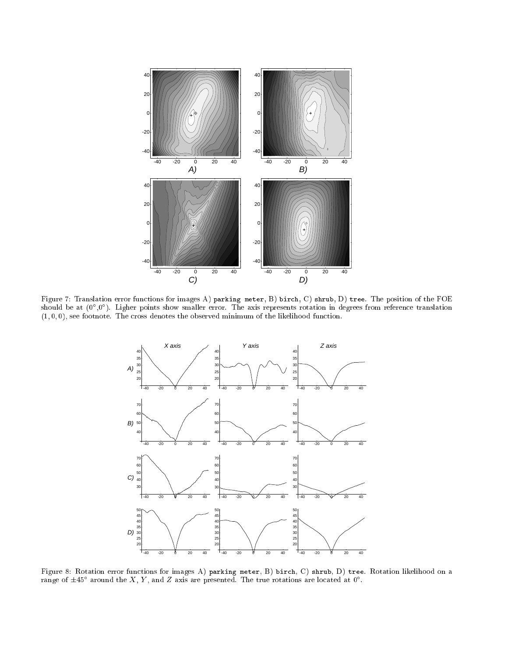

Figure 7: Translation error functions for images A) parking meter, B) birch, C) shrub, D) tree. The position of the FOE should be at (0 ,0 ). Ligher points show smaller error. The axis represents rotation in degrees from reference translation  $(1, 0, 0)$ , see footnote. The cross denotes the observed minimum of the likelihood function.



Figure 8: Rotation error functions for images A) parking meter, B) birch, C) shrub, D) tree. Rotation likelihood on a range of  $\pm 45^{\circ}$  around the X, Y, and Z axis are presented. The true rotations are located at  $0^{\circ}$ .